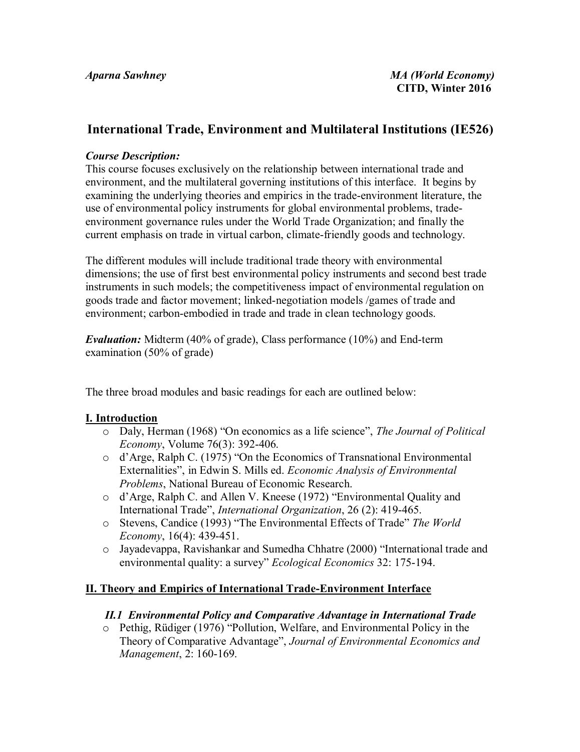# **International Trade, Environment and Multilateral Institutions (IE526)**

#### *Course Description:*

This course focuses exclusively on the relationship between international trade and environment, and the multilateral governing institutions of this interface. It begins by examining the underlying theories and empirics in the trade-environment literature, the use of environmental policy instruments for global environmental problems, tradeenvironment governance rules under the World Trade Organization; and finally the current emphasis on trade in virtual carbon, climate-friendly goods and technology.

The different modules will include traditional trade theory with environmental dimensions; the use of first best environmental policy instruments and second best trade instruments in such models; the competitiveness impact of environmental regulation on goods trade and factor movement; linked-negotiation models /games of trade and environment; carbon-embodied in trade and trade in clean technology goods.

*Evaluation:* Midterm (40% of grade), Class performance (10%) and End-term examination (50% of grade)

The three broad modules and basic readings for each are outlined below:

## **I. Introduction**

- o Daly, Herman (1968) "On economics as a life science", *The Journal of Political Economy*, Volume 76(3): 392-406.
- o d'Arge, Ralph C. (1975) "On the Economics of Transnational Environmental Externalities", in Edwin S. Mills ed. *Economic Analysis of Environmental Problems*, National Bureau of Economic Research.
- o d'Arge, Ralph C. and Allen V. Kneese (1972) "Environmental Quality and International Trade", *International Organization*, 26 (2): 419-465.
- o Stevens, Candice (1993) "The Environmental Effects of Trade" *The World Economy*, 16(4): 439-451.
- $\circ$  Jayadevappa, Ravishankar and Sumedha Chhatre (2000) "International trade and environmental quality: a survey" *Ecological Economics* 32: 175-194.

## **II. Theory and Empirics of International Trade-Environment Interface**

#### *II.1 Environmental Policy and Comparative Advantage in International Trade*

o Pethig, Rüdiger (1976) "Pollution, Welfare, and Environmental Policy in the Theory of Comparative Advantage", *Journal of Environmental Economics and Management*, 2: 160-169.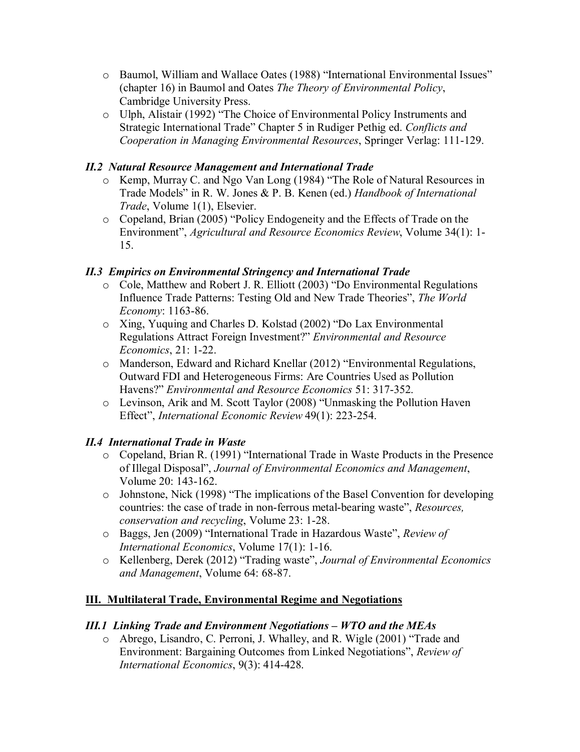- o Baumol, William and Wallace Oates (1988) "International Environmental Issues" (chapter 16) in Baumol and Oates *The Theory of Environmental Policy*, Cambridge University Press.
- o Ulph, Alistair (1992) "The Choice of Environmental Policy Instruments and Strategic International Trade" Chapter 5 in Rudiger Pethig ed. *Conflicts and Cooperation in Managing Environmental Resources*, Springer Verlag: 111-129.

# *II.2 Natural Resource Management and International Trade*

- o Kemp, Murray C. and Ngo Van Long (1984) "The Role of Natural Resources in Trade Models" in R. W. Jones & P. B. Kenen (ed.) *Handbook of International Trade*, Volume 1(1), Elsevier.
- o Copeland, Brian (2005) "Policy Endogeneity and the Effects of Trade on the Environment", *Agricultural and Resource Economics Review*, Volume 34(1): 1- 15.

# *II.3 Empirics on Environmental Stringency and International Trade*

- o Cole, Matthew and Robert J. R. Elliott (2003) "Do Environmental Regulations Influence Trade Patterns: Testing Old and New Trade Theories", *The World Economy*: 1163-86.
- o Xing, Yuquing and Charles D. Kolstad (2002) "Do Lax Environmental Regulations Attract Foreign Investment?" *Environmental and Resource Economics*, 21: 1-22.
- o Manderson, Edward and Richard Knellar (2012) "Environmental Regulations, Outward FDI and Heterogeneous Firms: Are Countries Used as Pollution Havens?" *Environmental and Resource Economics* 51: 317-352.
- o Levinson, Arik and M. Scott Taylor (2008) "Unmasking the Pollution Haven Effect", *International Economic Review* 49(1): 223-254.

# *II.4 International Trade in Waste*

- o Copeland, Brian R. (1991) "International Trade in Waste Products in the Presence of Illegal Disposal", *Journal of Environmental Economics and Management*, Volume 20: 143-162.
- o Johnstone, Nick (1998) "The implications of the Basel Convention for developing countries: the case of trade in non-ferrous metal-bearing waste", *Resources, conservation and recycling*, Volume 23: 1-28.
- o Baggs, Jen (2009) "International Trade in Hazardous Waste", *Review of International Economics*, Volume 17(1): 1-16.
- o Kellenberg, Derek (2012) "Trading waste", *Journal of Environmental Economics and Management*, Volume 64: 68-87.

# **III. Multilateral Trade, Environmental Regime and Negotiations**

## *III.1 Linking Trade and Environment Negotiations – WTO and the MEAs*

o Abrego, Lisandro, C. Perroni, J. Whalley, and R. Wigle (2001) "Trade and Environment: Bargaining Outcomes from Linked Negotiations", *Review of International Economics*, 9(3): 414-428.